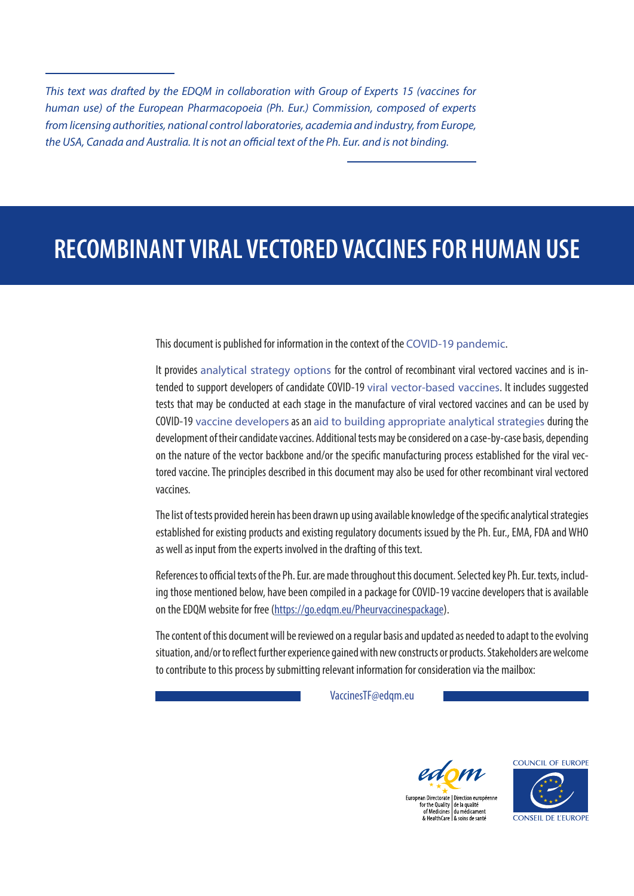*This text was drafted by the EDQM in collaboration with Group of Experts 15 (vaccines for human use) of the European Pharmacopoeia (Ph. Eur.) Commission, composed of experts from licensing authorities, national control laboratories, academia and industry, from Europe, the USA, Canada and Australia. It is not an official text of the Ph. Eur. and is not binding.*

# **RECOMBINANT VIRAL VECTORED VACCINES FOR HUMAN USE**

This document is published for information in the context of the COVID-19 pandemic.

It provides analytical strategy options for the control of recombinant viral vectored vaccines and is intended to support developers of candidate COVID-19 viral vector-based vaccines. It includes suggested tests that may be conducted at each stage in the manufacture of viral vectored vaccines and can be used by COVID-19 vaccine developers as an aid to building appropriate analytical strategies during the development of their candidate vaccines. Additional tests may be considered on a case-by-case basis, depending on the nature of the vector backbone and/or the specific manufacturing process established for the viral vectored vaccine. The principles described in this document may also be used for other recombinant viral vectored vaccines.

The list of tests provided herein has been drawn up using available knowledge of the specific analytical strategies established for existing products and existing regulatory documents issued by the Ph. Eur., EMA, FDA and WHO as well as input from the experts involved in the drafting of this text.

References to official texts of the Ph. Eur. are made throughout this document. Selected key Ph. Eur. texts, including those mentioned below, have been compiled in a package for COVID-19 vaccine developers that is available on the EDQM website for free ([https://go.edqm.eu/Pheurvaccinespackage\)](https://go.edqm.eu/Pheurvaccinespackage).

The content of this document will be reviewed on a regular basis and updated as needed to adapt to the evolving situation, and/or to reflect further experience gained with new constructs or products. Stakeholders are welcome to contribute to this process by submitting relevant information for consideration via the mailbox:

[VaccinesTF@edqm.eu](mailto:VaccinesTF%40edqm.eu?subject=Feedback%20viral%20vectored%20vaccines)





European Directorate | Direction européenne<br>for the Quality | de la qualité<br>of Medicines | du médicament<br>& HealthCare | & soins de santé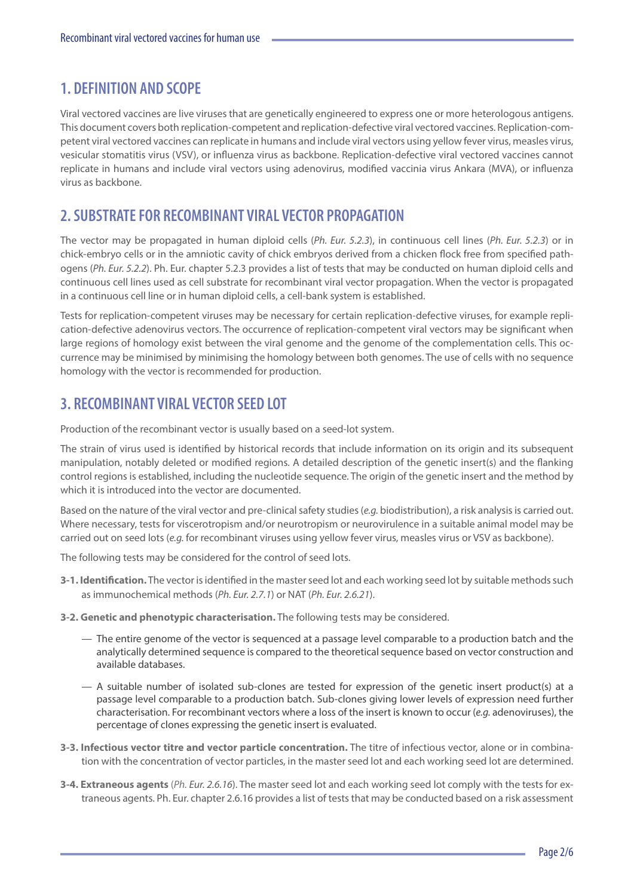# **1. DEFINITION AND SCOPE**

Viral vectored vaccines are live viruses that are genetically engineered to express one or more heterologous antigens. This document covers both replication-competent and replication-defective viral vectored vaccines. Replication-competent viral vectored vaccines can replicate in humans and include viral vectors using yellow fever virus, measles virus, vesicular stomatitis virus ([VSV\)](#page-5-0), or influenza virus as backbone. Replication-defective viral vectored vaccines cannot replicate in humans and include viral vectors using adenovirus, modified vaccinia virus Ankara ([MVA\)](#page-5-0), or influenza virus as backbone.

# **2. SUBSTRATE FOR RECOMBINANT VIRAL VECTOR PROPAGATION**

The vector may be propagated in human diploid cells (*Ph. Eur. 5.2.3*), in continuous cell lines (*Ph. Eur. 5.2.3*) or in chick-embryo cells or in the amniotic cavity of chick embryos derived from a chicken flock free from specified pathogens (*Ph. Eur. 5.2.2*). Ph. Eur. chapter 5.2.3 provides a list of tests that may be conducted on human diploid cells and continuous cell lines used as cell substrate for recombinant viral vector propagation. When the vector is propagated in a continuous cell line or in human diploid cells, a cell-bank system is established.

Tests for replication-competent viruses may be necessary for certain replication-defective viruses, for example replication-defective adenovirus vectors. The occurrence of replication-competent viral vectors may be significant when large regions of homology exist between the viral genome and the genome of the complementation cells. This occurrence may be minimised by minimising the homology between both genomes. The use of cells with no sequence homology with the vector is recommended for production.

# **3. RECOMBINANT VIRAL VECTOR SEED LOT**

Production of the recombinant vector is usually based on a seed-lot system.

The strain of virus used is identified by historical records that include information on its origin and its subsequent manipulation, notably deleted or modified regions. A detailed description of the genetic insert(s) and the flanking control regions is established, including the nucleotide sequence. The origin of the genetic insert and the method by which it is introduced into the vector are documented.

Based on the nature of the viral vector and pre-clinical safety studies (*e.g.* biodistribution), a risk analysis is carried out. Where necessary, tests for viscerotropism and/or neurotropism or neurovirulence in a suitable animal model may be carried out on seed lots (*e.g.* for recombinant viruses using yellow fever virus, measles virus or [VSV](#page-5-0) as backbone).

The following tests may be considered for the control of seed lots.

- **3-1. Identification.** The vector is identified in the master seed lot and each working seed lot by suitable methods such as immunochemical methods (*Ph. Eur. 2.7.1*) or [NAT](#page-5-0) (*Ph. Eur. 2.6.21*).
- **3-2. Genetic and phenotypic characterisation.** The following tests may be considered.
	- The entire genome of the vector is sequenced at a passage level comparable to a production batch and the analytically determined sequence is compared to the theoretical sequence based on vector construction and available databases.
	- A suitable number of isolated sub-clones are tested for expression of the genetic insert product(s) at a passage level comparable to a production batch. Sub-clones giving lower levels of expression need further characterisation. For recombinant vectors where a loss of the insert is known to occur (*e.g.* adenoviruses), the percentage of clones expressing the genetic insert is evaluated.
- **3-3. Infectious vector titre and vector particle concentration.** The titre of infectious vector, alone or in combination with the concentration of vector particles, in the master seed lot and each working seed lot are determined.
- **3-4. Extraneous agents** (*Ph. Eur. 2.6.16*). The master seed lot and each working seed lot comply with the tests for extraneous agents. Ph. Eur. chapter 2.6.16 provides a list of tests that may be conducted based on a risk assessment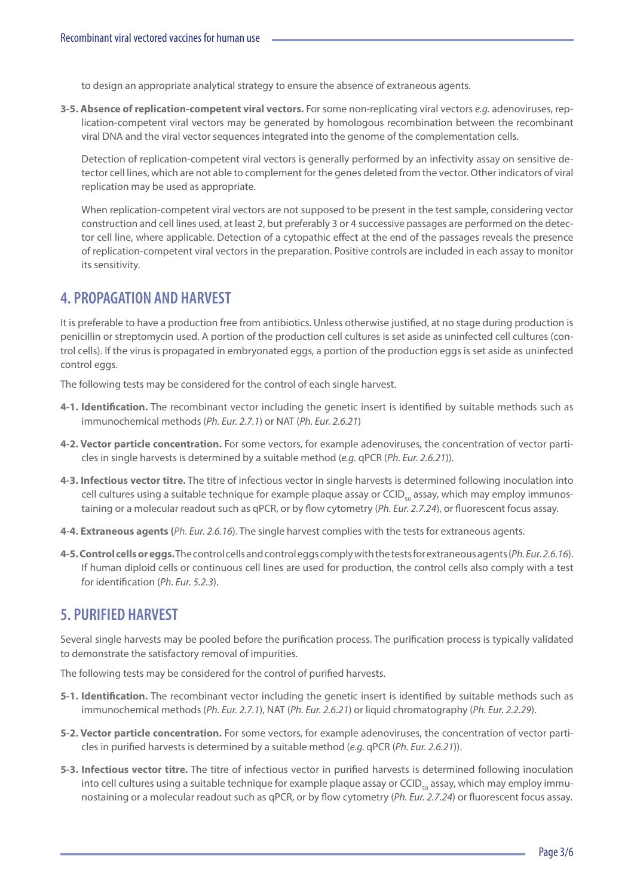to design an appropriate analytical strategy to ensure the absence of extraneous agents.

**3-5. Absence of replication-competent viral vectors.** For some non-replicating viral vectors *e.g.* adenoviruses, replication-competent viral vectors may be generated by homologous recombination between the recombinant viral DNA and the viral vector sequences integrated into the genome of the complementation cells.

Detection of replication-competent viral vectors is generally performed by an infectivity assay on sensitive detector cell lines, which are not able to complement for the genes deleted from the vector. Other indicators of viral replication may be used as appropriate.

When replication-competent viral vectors are not supposed to be present in the test sample, considering vector construction and cell lines used, at least 2, but preferably 3 or 4 successive passages are performed on the detector cell line, where applicable. Detection of a cytopathic effect at the end of the passages reveals the presence of replication-competent viral vectors in the preparation. Positive controls are included in each assay to monitor its sensitivity.

#### **4. PROPAGATION AND HARVEST**

It is preferable to have a production free from antibiotics. Unless otherwise justified, at no stage during production is penicillin or streptomycin used. A portion of the production cell cultures is set aside as uninfected cell cultures (control cells). If the virus is propagated in embryonated eggs, a portion of the production eggs is set aside as uninfected control eggs.

The following tests may be considered for the control of each single harvest.

- **4-1. Identification.** The recombinant vector including the genetic insert is identified by suitable methods such as immunochemical methods (*Ph. Eur. 2.7.1*) or [NAT](#page-5-0) (*Ph. Eur. 2.6.21*)
- **4-2. Vector particle concentration.** For some vectors, for example adenoviruses, the concentration of vector particles in single harvests is determined by a suitable method (*e.g.* [qPCR](#page-5-0) (*Ph. Eur. 2.6.21*)).
- **4-3. Infectious vector titre.** The titre of infectious vector in single harvests is determined following inoculation into cell cultures using a suitable technique for example plaque assay or CCID<sub>50</sub> assay, which may employ immunostaining or a molecular readout such as [qPCR](#page-5-0), or by flow cytometry (*Ph. Eur. 2.7.24*), or fluorescent focus assay.
- **4-4. Extraneous agents (***Ph. Eur. 2.6.16*). The single harvest complies with the tests for extraneous agents.
- **4-5. Control cells or eggs.** The control cells and control eggs comply with the tests for extraneous agents (*Ph. Eur. 2.6.16*). If human diploid cells or continuous cell lines are used for production, the control cells also comply with a test for identification (*Ph. Eur. 5.2.3*).

#### **5. PURIFIED HARVEST**

Several single harvests may be pooled before the purification process. The purification process is typically validated to demonstrate the satisfactory removal of impurities.

The following tests may be considered for the control of purified harvests.

- **5-1. Identification.** The recombinant vector including the genetic insert is identified by suitable methods such as immunochemical methods (*Ph. Eur. 2.7.1*), [NAT](#page-5-0) (*Ph. Eur. 2.6.21*) or liquid chromatography (*Ph. Eur. 2.2.29*).
- **5-2. Vector particle concentration.** For some vectors, for example adenoviruses, the concentration of vector particles in purified harvests is determined by a suitable method (*e.g.* [qPCR](#page-5-0) (*Ph. Eur. 2.6.21*)).
- **5-3. Infectious vector titre.** The titre of infectious vector in purified harvests is determined following inoculation into cell cultures using a suitable technique for example plaque assay or CCID $_{50}$  assay, which may employ immunostaining or a molecular readout such as [qPCR](#page-5-0), or by flow cytometry (*Ph. Eur. 2.7.24*) or fluorescent focus assay.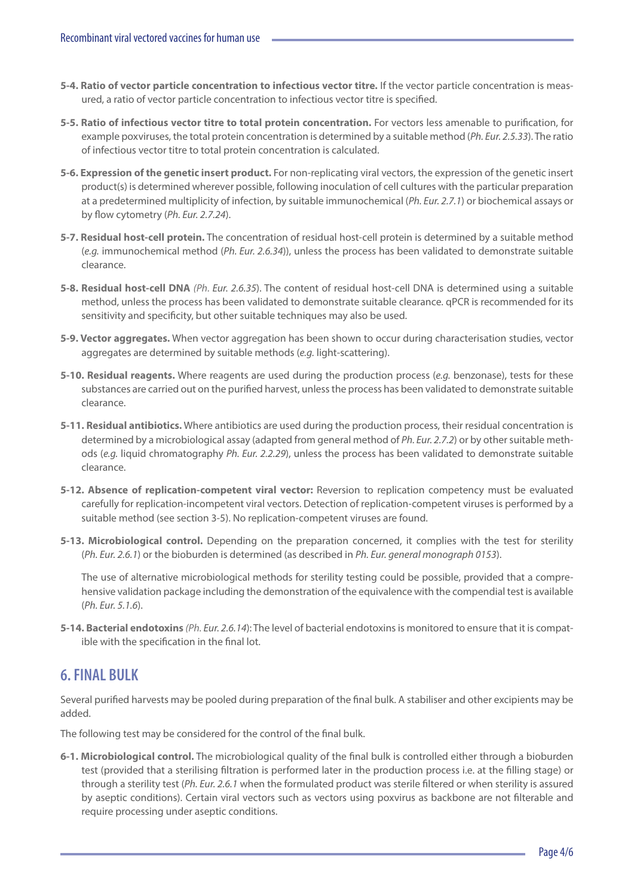- **5-4. Ratio of vector particle concentration to infectious vector titre.** If the vector particle concentration is measured, a ratio of vector particle concentration to infectious vector titre is specified.
- **5-5. Ratio of infectious vector titre to total protein concentration.** For vectors less amenable to purification, for example poxviruses, the total protein concentration is determined by a suitable method (*Ph. Eur. 2.5.33*). The ratio of infectious vector titre to total protein concentration is calculated.
- **5-6. Expression of the genetic insert product.** For non-replicating viral vectors, the expression of the genetic insert product(s) is determined wherever possible, following inoculation of cell cultures with the particular preparation at a predetermined multiplicity of infection, by suitable immunochemical (*Ph. Eur. 2.7.1*) or biochemical assays or by flow cytometry (*Ph. Eur. 2.7.24*).
- **5-7. Residual host-cell protein.** The concentration of residual host-cell protein is determined by a suitable method (*e.g.* immunochemical method (*Ph. Eur. 2.6.34*)), unless the process has been validated to demonstrate suitable clearance.
- **5-8. Residual host-cell DNA** *(Ph. Eur. 2.6.35*). The content of residual host-cell DNA is determined using a suitable method, unless the process has been validated to demonstrate suitable clearance. [qPCR](#page-5-0) is recommended for its sensitivity and specificity, but other suitable techniques may also be used.
- **5-9. Vector aggregates.** When vector aggregation has been shown to occur during characterisation studies, vector aggregates are determined by suitable methods (*e.g.* light-scattering).
- **5-10. Residual reagents.** Where reagents are used during the production process (*e.g.* benzonase), tests for these substances are carried out on the purified harvest, unless the process has been validated to demonstrate suitable clearance.
- **5-11. Residual antibiotics.** Where antibiotics are used during the production process, their residual concentration is determined by a microbiological assay (adapted from general method of *Ph. Eur. 2.7.2*) or by other suitable methods (*e.g.* liquid chromatography *Ph. Eur. 2.2.29*), unless the process has been validated to demonstrate suitable clearance.
- **5-12. Absence of replication-competent viral vector:** Reversion to replication competency must be evaluated carefully for replication-incompetent viral vectors. Detection of replication-competent viruses is performed by a suitable method (see section 3-5). No replication-competent viruses are found.
- **5-13. Microbiological control.** Depending on the preparation concerned, it complies with the test for sterility (*Ph. Eur. 2.6.1*) or the bioburden is determined (as described in *Ph. Eur. general monograph 0153*).

The use of alternative microbiological methods for sterility testing could be possible, provided that a comprehensive validation package including the demonstration of the equivalence with the compendial test is available (*Ph. Eur. 5.1.6*).

**5-14. Bacterial endotoxins** *(Ph. Eur. 2.6.14*): The level of bacterial endotoxins is monitored to ensure that it is compatible with the specification in the final lot.

### **6. FINAL BULK**

Several purified harvests may be pooled during preparation of the final bulk. A stabiliser and other excipients may be added.

The following test may be considered for the control of the final bulk.

**6-1. Microbiological control.** The microbiological quality of the final bulk is controlled either through a bioburden test (provided that a sterilising filtration is performed later in the production process i.e. at the filling stage) or through a sterility test (*Ph. Eur. 2.6.1* when the formulated product was sterile filtered or when sterility is assured by aseptic conditions). Certain viral vectors such as vectors using poxvirus as backbone are not filterable and require processing under aseptic conditions.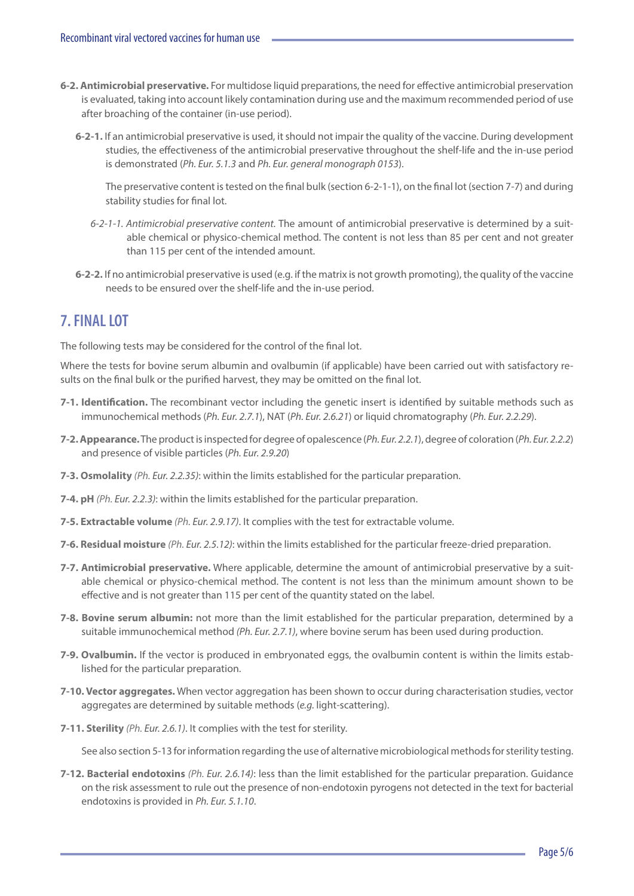- **6-2. Antimicrobial preservative.** For multidose liquid preparations, the need for effective antimicrobial preservation is evaluated, taking into account likely contamination during use and the maximum recommended period of use after broaching of the container (in-use period).
	- **6-2-1.** If an antimicrobial preservative is used, it should not impair the quality of the vaccine. During development studies, the effectiveness of the antimicrobial preservative throughout the shelf-life and the in-use period is demonstrated (*Ph. Eur. 5.1.3* and *Ph. Eur. general monograph 0153*).

The preservative content is tested on the final bulk (section 6-2-1-1), on the final lot (section 7-7) and during stability studies for final lot.

- *6-2-1-1. Antimicrobial preservative content.* The amount of antimicrobial preservative is determined by a suitable chemical or physico-chemical method. The content is not less than 85 per cent and not greater than 115 per cent of the intended amount.
- **6-2-2.** If no antimicrobial preservative is used (e.g. if the matrix is not growth promoting), the quality of the vaccine needs to be ensured over the shelf-life and the in-use period.

## **7. FINAL LOT**

The following tests may be considered for the control of the final lot.

Where the tests for bovine serum albumin and ovalbumin (if applicable) have been carried out with satisfactory results on the final bulk or the purified harvest, they may be omitted on the final lot.

- **7-1. Identification.** The recombinant vector including the genetic insert is identified by suitable methods such as immunochemical methods (*Ph. Eur. 2.7.1*), [NAT](#page-5-0) (*Ph. Eur. 2.6.21*) or liquid chromatography (*Ph. Eur. 2.2.29*).
- **7-2. Appearance.** The product is inspected for degree of opalescence (*Ph. Eur. 2.2.1*), degree of coloration (*Ph. Eur. 2.2.2*) and presence of visible particles (*Ph. Eur. 2.9.20*)
- **7-3. Osmolality** *(Ph. Eur. 2.2.35)*: within the limits established for the particular preparation.
- **7-4. pH** *(Ph. Eur. 2.2.3)*: within the limits established for the particular preparation.
- **7-5. Extractable volume** *(Ph. Eur. 2.9.17)*. It complies with the test for extractable volume.
- **7-6. Residual moisture** *(Ph. Eur. 2.5.12)*: within the limits established for the particular freeze-dried preparation.
- **7-7. Antimicrobial preservative.** Where applicable, determine the amount of antimicrobial preservative by a suitable chemical or physico-chemical method. The content is not less than the minimum amount shown to be effective and is not greater than 115 per cent of the quantity stated on the label.
- **7-8. Bovine serum albumin:** not more than the limit established for the particular preparation, determined by a suitable immunochemical method *(Ph. Eur. 2.7.1)*, where bovine serum has been used during production.
- **7-9. Ovalbumin.** If the vector is produced in embryonated eggs, the ovalbumin content is within the limits established for the particular preparation.
- **7-10. Vector aggregates.** When vector aggregation has been shown to occur during characterisation studies, vector aggregates are determined by suitable methods (*e.g.* light-scattering).
- **7-11. Sterility** *(Ph. Eur. 2.6.1)*. It complies with the test for sterility.

See also section 5-13 for information regarding the use of alternative microbiological methods for sterility testing.

**7-12. Bacterial endotoxins** *(Ph. Eur. 2.6.14)*: less than the limit established for the particular preparation. Guidance on the risk assessment to rule out the presence of non-endotoxin pyrogens not detected in the text for bacterial endotoxins is provided in *Ph. Eur. 5.1.10*.